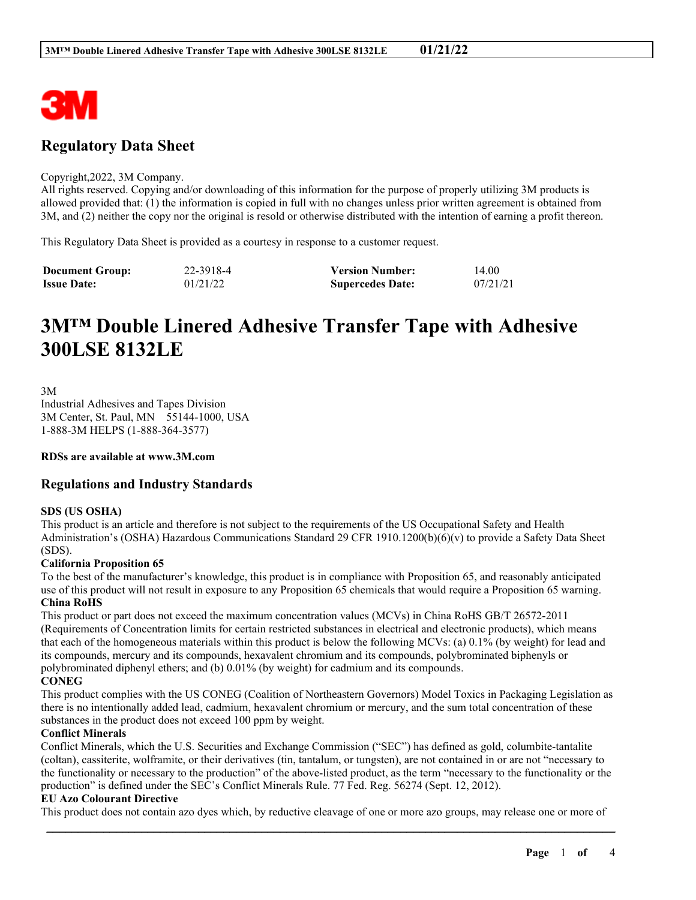

# **Regulatory Data Sheet**

#### Copyright,2022, 3M Company.

All rights reserved. Copying and/or downloading of this information for the purpose of properly utilizing 3M products is allowed provided that: (1) the information is copied in full with no changes unless prior written agreement is obtained from 3M, and (2) neither the copy nor the original is resold or otherwise distributed with the intention of earning a profit thereon.

This Regulatory Data Sheet is provided as a courtesy in response to a customer request.

| <b>Document Group:</b> | 22-3918-4 | <b>Version Number:</b>  | 14.00    |
|------------------------|-----------|-------------------------|----------|
| <b>Issue Date:</b>     | 01/21/22  | <b>Supercedes Date:</b> | 07/21/21 |

# **3M™ Double Linered Adhesive Transfer Tape with Adhesive 300LSE 8132LE**

3M

Industrial Adhesives and Tapes Division 3M Center, St. Paul, MN 55144-1000, USA 1-888-3M HELPS (1-888-364-3577)

**RDSs are available at www.3M.com**

### **Regulations and Industry Standards**

#### **SDS (US OSHA)**

This product is an article and therefore is not subject to the requirements of the US Occupational Safety and Health Administration's (OSHA) Hazardous Communications Standard 29 CFR 1910.1200(b)(6)(v) to provide a Safety Data Sheet (SDS).

#### **California Proposition 65**

To the best of the manufacturer's knowledge, this product is in compliance with Proposition 65, and reasonably anticipated use of this product will not result in exposure to any Proposition 65 chemicals that would require a Proposition 65 warning. **China RoHS**

This product or part does not exceed the maximum concentration values (MCVs) in China RoHS GB/T 26572-2011 (Requirements of Concentration limits for certain restricted substances in electrical and electronic products), which means that each of the homogeneous materials within this product is below the following MCVs: (a) 0.1% (by weight) for lead and its compounds, mercury and its compounds, hexavalent chromium and its compounds, polybrominated biphenyls or polybrominated diphenyl ethers; and (b) 0.01% (by weight) for cadmium and its compounds.

#### **CONEG**

This product complies with the US CONEG (Coalition of Northeastern Governors) Model Toxics in Packaging Legislation as there is no intentionally added lead, cadmium, hexavalent chromium or mercury, and the sum total concentration of these substances in the product does not exceed 100 ppm by weight.

#### **Conflict Minerals**

Conflict Minerals, which the U.S. Securities and Exchange Commission ("SEC") has defined as gold, columbite-tantalite (coltan), cassiterite, wolframite, or their derivatives (tin, tantalum, or tungsten), are not contained in or are not "necessary to the functionality or necessary to the production" of the above-listed product, as the term "necessary to the functionality or the production" is defined under the SEC's Conflict Minerals Rule. 77 Fed. Reg. 56274 (Sept. 12, 2012).

#### **EU Azo Colourant Directive**

\_\_\_\_\_\_\_\_\_\_\_\_\_\_\_\_\_\_\_\_\_\_\_\_\_\_\_\_\_\_\_\_\_\_\_\_\_\_\_\_\_\_\_\_\_\_\_\_\_\_\_\_\_\_\_\_\_\_\_\_\_\_\_\_\_\_\_\_\_\_\_\_\_\_\_\_\_\_\_\_\_\_\_\_\_\_\_\_\_\_ This product does not contain azo dyes which, by reductive cleavage of one or more azo groups, may release one or more of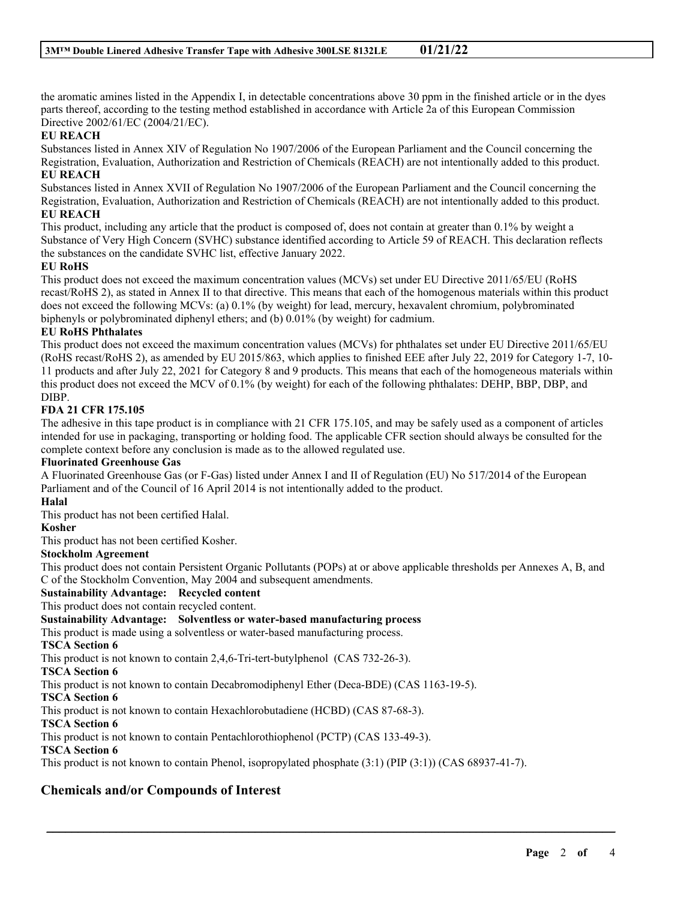the aromatic amines listed in the Appendix I, in detectable concentrations above 30 ppm in the finished article or in the dyes parts thereof, according to the testing method established in accordance with Article 2a of this European Commission Directive 2002/61/EC (2004/21/EC).

#### **EU REACH**

Substances listed in Annex XIV of Regulation No 1907/2006 of the European Parliament and the Council concerning the Registration, Evaluation, Authorization and Restriction of Chemicals (REACH) are not intentionally added to this product.

#### **EU REACH**

Substances listed in Annex XVII of Regulation No 1907/2006 of the European Parliament and the Council concerning the Registration, Evaluation, Authorization and Restriction of Chemicals (REACH) are not intentionally added to this product.

#### **EU REACH**

This product, including any article that the product is composed of, does not contain at greater than 0.1% by weight a Substance of Very High Concern (SVHC) substance identified according to Article 59 of REACH. This declaration reflects the substances on the candidate SVHC list, effective January 2022.

#### **EU RoHS**

This product does not exceed the maximum concentration values (MCVs) set under EU Directive 2011/65/EU (RoHS recast/RoHS 2), as stated in Annex II to that directive. This means that each of the homogenous materials within this product does not exceed the following MCVs: (a) 0.1% (by weight) for lead, mercury, hexavalent chromium, polybrominated biphenyls or polybrominated diphenyl ethers; and (b) 0.01% (by weight) for cadmium.

#### **EU RoHS Phthalates**

This product does not exceed the maximum concentration values (MCVs) for phthalates set under EU Directive 2011/65/EU (RoHS recast/RoHS 2), as amended by EU 2015/863, which applies to finished EEE after July 22, 2019 for Category 1-7, 10- 11 products and after July 22, 2021 for Category 8 and 9 products. This means that each of the homogeneous materials within this product does not exceed the MCV of 0.1% (by weight) for each of the following phthalates: DEHP, BBP, DBP, and DIBP.

#### **FDA 21 CFR 175.105**

The adhesive in this tape product is in compliance with 21 CFR 175.105, and may be safely used as a component of articles intended for use in packaging, transporting or holding food. The applicable CFR section should always be consulted for the complete context before any conclusion is made as to the allowed regulated use.

#### **Fluorinated Greenhouse Gas**

A Fluorinated Greenhouse Gas (or F-Gas) listed under Annex I and II of Regulation (EU) No 517/2014 of the European Parliament and of the Council of 16 April 2014 is not intentionally added to the product.

#### **Halal**

This product has not been certified Halal.

#### **Kosher**

This product has not been certified Kosher.

#### **Stockholm Agreement**

This product does not contain Persistent Organic Pollutants (POPs) at or above applicable thresholds per Annexes A, B, and C of the Stockholm Convention, May 2004 and subsequent amendments.

\_\_\_\_\_\_\_\_\_\_\_\_\_\_\_\_\_\_\_\_\_\_\_\_\_\_\_\_\_\_\_\_\_\_\_\_\_\_\_\_\_\_\_\_\_\_\_\_\_\_\_\_\_\_\_\_\_\_\_\_\_\_\_\_\_\_\_\_\_\_\_\_\_\_\_\_\_\_\_\_\_\_\_\_\_\_\_\_\_\_

#### **Sustainability Advantage: Recycled content**

This product does not contain recycled content.

### **Sustainability Advantage: Solventless or water-based manufacturing process**

This product is made using a solventless or water-based manufacturing process.

#### **TSCA Section 6**

This product is not known to contain 2,4,6-Tri-tert-butylphenol (CAS 732-26-3).

## **TSCA Section 6**

This product is not known to contain Decabromodiphenyl Ether (Deca-BDE) (CAS 1163-19-5).

#### **TSCA Section 6**

This product is not known to contain Hexachlorobutadiene (HCBD) (CAS 87-68-3).

#### **TSCA Section 6**

This product is not known to contain Pentachlorothiophenol (PCTP) (CAS 133-49-3).

#### **TSCA Section 6**

This product is not known to contain Phenol, isopropylated phosphate (3:1) (PIP (3:1)) (CAS 68937-41-7).

# **Chemicals and/or Compounds of Interest**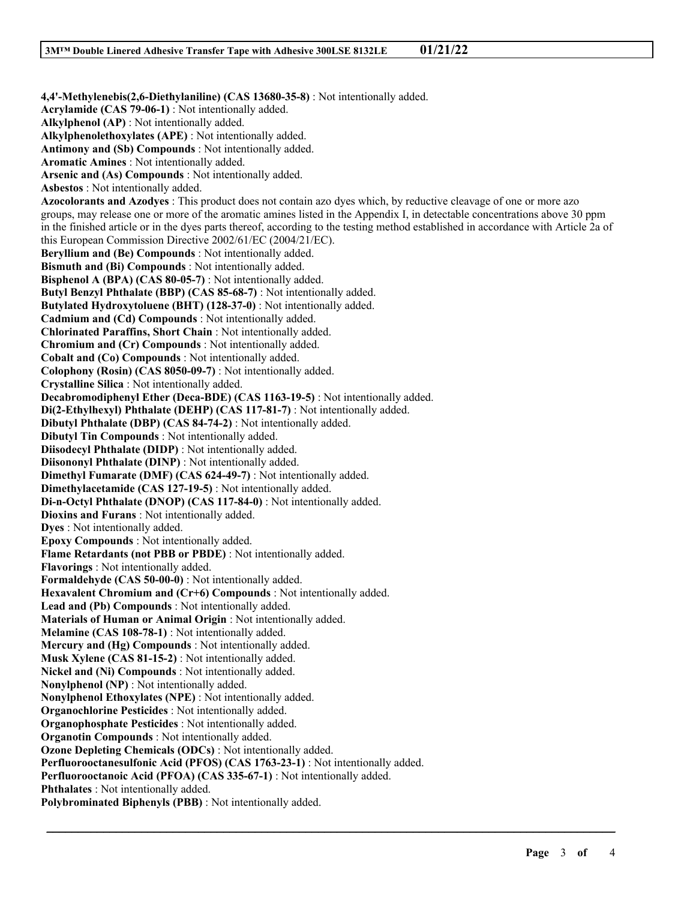**4,4'-Methylenebis(2,6-Diethylaniline) (CAS 13680-35-8)** : Not intentionally added. **Acrylamide (CAS 79-06-1)** : Not intentionally added. **Alkylphenol (AP)** : Not intentionally added. **Alkylphenolethoxylates (APE)** : Not intentionally added. **Antimony and (Sb) Compounds** : Not intentionally added. **Aromatic Amines** : Not intentionally added. **Arsenic and (As) Compounds** : Not intentionally added. **Asbestos** : Not intentionally added. **Azocolorants and Azodyes** : This product does not contain azo dyes which, by reductive cleavage of one or more azo groups, may release one or more of the aromatic amines listed in the Appendix I, in detectable concentrations above 30 ppm in the finished article or in the dyes parts thereof, according to the testing method established in accordance with Article 2a of this European Commission Directive 2002/61/EC (2004/21/EC). **Beryllium and (Be) Compounds** : Not intentionally added. **Bismuth and (Bi) Compounds** : Not intentionally added. **Bisphenol A (BPA) (CAS 80-05-7)** : Not intentionally added. **Butyl Benzyl Phthalate (BBP) (CAS 85-68-7)** : Not intentionally added. **Butylated Hydroxytoluene (BHT) (128-37-0)** : Not intentionally added. **Cadmium and (Cd) Compounds** : Not intentionally added. **Chlorinated Paraffins, Short Chain** : Not intentionally added. **Chromium and (Cr) Compounds** : Not intentionally added. **Cobalt and (Co) Compounds** : Not intentionally added. **Colophony (Rosin) (CAS 8050-09-7)** : Not intentionally added. **Crystalline Silica** : Not intentionally added. **Decabromodiphenyl Ether (Deca-BDE) (CAS 1163-19-5)** : Not intentionally added. **Di(2-Ethylhexyl) Phthalate (DEHP) (CAS 117-81-7)** : Not intentionally added. **Dibutyl Phthalate (DBP) (CAS 84-74-2)** : Not intentionally added. **Dibutyl Tin Compounds** : Not intentionally added. **Diisodecyl Phthalate (DIDP)** : Not intentionally added. **Diisononyl Phthalate (DINP)** : Not intentionally added. **Dimethyl Fumarate (DMF) (CAS 624-49-7)** : Not intentionally added. **Dimethylacetamide (CAS 127-19-5)** : Not intentionally added. **Di-n-Octyl Phthalate (DNOP) (CAS 117-84-0)** : Not intentionally added. **Dioxins and Furans** : Not intentionally added. **Dyes** : Not intentionally added. **Epoxy Compounds** : Not intentionally added. **Flame Retardants (not PBB or PBDE)** : Not intentionally added. **Flavorings** : Not intentionally added. **Formaldehyde (CAS 50-00-0)** : Not intentionally added. **Hexavalent Chromium and (Cr+6) Compounds** : Not intentionally added. **Lead and (Pb) Compounds** : Not intentionally added. **Materials of Human or Animal Origin** : Not intentionally added. **Melamine (CAS 108-78-1)** : Not intentionally added. **Mercury and (Hg) Compounds** : Not intentionally added. **Musk Xylene (CAS 81-15-2)** : Not intentionally added. **Nickel and (Ni) Compounds** : Not intentionally added. **Nonylphenol (NP)** : Not intentionally added. **Nonylphenol Ethoxylates (NPE)** : Not intentionally added. **Organochlorine Pesticides** : Not intentionally added. **Organophosphate Pesticides** : Not intentionally added. **Organotin Compounds** : Not intentionally added. **Ozone Depleting Chemicals (ODCs)** : Not intentionally added. **Perfluorooctanesulfonic Acid (PFOS) (CAS 1763-23-1)** : Not intentionally added. **Perfluorooctanoic Acid (PFOA) (CAS 335-67-1)** : Not intentionally added. **Phthalates** : Not intentionally added. **Polybrominated Biphenyls (PBB)** : Not intentionally added.

\_\_\_\_\_\_\_\_\_\_\_\_\_\_\_\_\_\_\_\_\_\_\_\_\_\_\_\_\_\_\_\_\_\_\_\_\_\_\_\_\_\_\_\_\_\_\_\_\_\_\_\_\_\_\_\_\_\_\_\_\_\_\_\_\_\_\_\_\_\_\_\_\_\_\_\_\_\_\_\_\_\_\_\_\_\_\_\_\_\_